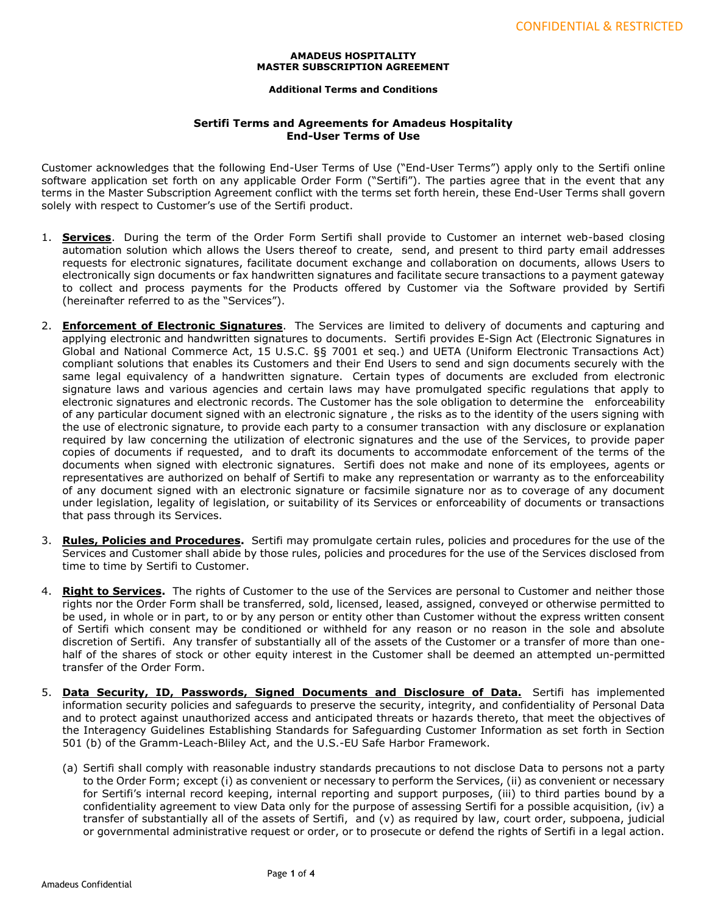## **AMADEUS HOSPITALITY MASTER SUBSCRIPTION AGREEMENT**

## **Additional Terms and Conditions**

## **Sertifi Terms and Agreements for Amadeus Hospitality End-User Terms of Use**

Customer acknowledges that the following End-User Terms of Use ("End-User Terms") apply only to the Sertifi online software application set forth on any applicable Order Form ("Sertifi"). The parties agree that in the event that any terms in the Master Subscription Agreement conflict with the terms set forth herein, these End-User Terms shall govern solely with respect to Customer's use of the Sertifi product.

- 1. **Services**. During the term of the Order Form Sertifi shall provide to Customer an internet web-based closing automation solution which allows the Users thereof to create, send, and present to third party email addresses requests for electronic signatures, facilitate document exchange and collaboration on documents, allows Users to electronically sign documents or fax handwritten signatures and facilitate secure transactions to a payment gateway to collect and process payments for the Products offered by Customer via the Software provided by Sertifi (hereinafter referred to as the "Services").
- 2. **Enforcement of Electronic Signatures**. The Services are limited to delivery of documents and capturing and applying electronic and handwritten signatures to documents. Sertifi provides E-Sign Act (Electronic Signatures in Global and National Commerce Act, 15 U.S.C. §§ 7001 et seq.) and UETA (Uniform Electronic Transactions Act) compliant solutions that enables its Customers and their End Users to send and sign documents securely with the same legal equivalency of a handwritten signature. Certain types of documents are excluded from electronic signature laws and various agencies and certain laws may have promulgated specific regulations that apply to electronic signatures and electronic records. The Customer has the sole obligation to determine the enforceability of any particular document signed with an electronic signature , the risks as to the identity of the users signing with the use of electronic signature, to provide each party to a consumer transaction with any disclosure or explanation required by law concerning the utilization of electronic signatures and the use of the Services, to provide paper copies of documents if requested, and to draft its documents to accommodate enforcement of the terms of the documents when signed with electronic signatures. Sertifi does not make and none of its employees, agents or representatives are authorized on behalf of Sertifi to make any representation or warranty as to the enforceability of any document signed with an electronic signature or facsimile signature nor as to coverage of any document under legislation, legality of legislation, or suitability of its Services or enforceability of documents or transactions that pass through its Services.
- 3. **Rules, Policies and Procedures.** Sertifi may promulgate certain rules, policies and procedures for the use of the Services and Customer shall abide by those rules, policies and procedures for the use of the Services disclosed from time to time by Sertifi to Customer.
- 4. **Right to Services.** The rights of Customer to the use of the Services are personal to Customer and neither those rights nor the Order Form shall be transferred, sold, licensed, leased, assigned, conveyed or otherwise permitted to be used, in whole or in part, to or by any person or entity other than Customer without the express written consent of Sertifi which consent may be conditioned or withheld for any reason or no reason in the sole and absolute discretion of Sertifi. Any transfer of substantially all of the assets of the Customer or a transfer of more than onehalf of the shares of stock or other equity interest in the Customer shall be deemed an attempted un-permitted transfer of the Order Form.
- 5. **Data Security, ID, Passwords, Signed Documents and Disclosure of Data.** Sertifi has implemented information security policies and safeguards to preserve the security, integrity, and confidentiality of Personal Data and to protect against unauthorized access and anticipated threats or hazards thereto, that meet the objectives of the Interagency Guidelines Establishing Standards for Safeguarding Customer Information as set forth in Section 501 (b) of the Gramm-Leach-Bliley Act, and the U.S.-EU Safe Harbor Framework.
	- (a) Sertifi shall comply with reasonable industry standards precautions to not disclose Data to persons not a party to the Order Form; except (i) as convenient or necessary to perform the Services, (ii) as convenient or necessary for Sertifi's internal record keeping, internal reporting and support purposes, (iii) to third parties bound by a confidentiality agreement to view Data only for the purpose of assessing Sertifi for a possible acquisition, (iv) a transfer of substantially all of the assets of Sertifi, and (v) as required by law, court order, subpoena, judicial or governmental administrative request or order, or to prosecute or defend the rights of Sertifi in a legal action.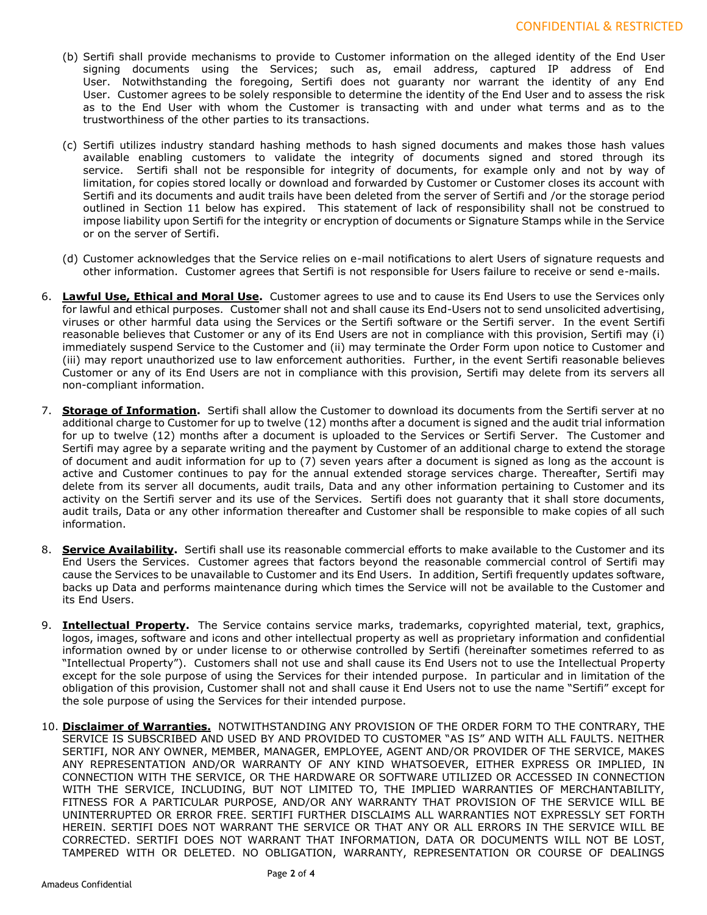- (b) Sertifi shall provide mechanisms to provide to Customer information on the alleged identity of the End User signing documents using the Services; such as, email address, captured IP address of End User. Notwithstanding the foregoing, Sertifi does not guaranty nor warrant the identity of any End User. Customer agrees to be solely responsible to determine the identity of the End User and to assess the risk as to the End User with whom the Customer is transacting with and under what terms and as to the trustworthiness of the other parties to its transactions.
- (c) Sertifi utilizes industry standard hashing methods to hash signed documents and makes those hash values available enabling customers to validate the integrity of documents signed and stored through its service. Sertifi shall not be responsible for integrity of documents, for example only and not by way of limitation, for copies stored locally or download and forwarded by Customer or Customer closes its account with Sertifi and its documents and audit trails have been deleted from the server of Sertifi and /or the storage period outlined in Section 11 below has expired. This statement of lack of responsibility shall not be construed to impose liability upon Sertifi for the integrity or encryption of documents or Signature Stamps while in the Service or on the server of Sertifi.
- (d) Customer acknowledges that the Service relies on e-mail notifications to alert Users of signature requests and other information. Customer agrees that Sertifi is not responsible for Users failure to receive or send e-mails.
- 6. **Lawful Use, Ethical and Moral Use.** Customer agrees to use and to cause its End Users to use the Services only for lawful and ethical purposes. Customer shall not and shall cause its End-Users not to send unsolicited advertising, viruses or other harmful data using the Services or the Sertifi software or the Sertifi server. In the event Sertifi reasonable believes that Customer or any of its End Users are not in compliance with this provision, Sertifi may (i) immediately suspend Service to the Customer and (ii) may terminate the Order Form upon notice to Customer and (iii) may report unauthorized use to law enforcement authorities. Further, in the event Sertifi reasonable believes Customer or any of its End Users are not in compliance with this provision, Sertifi may delete from its servers all non-compliant information.
- 7. **Storage of Information.** Sertifi shall allow the Customer to download its documents from the Sertifi server at no additional charge to Customer for up to twelve (12) months after a document is signed and the audit trial information for up to twelve (12) months after a document is uploaded to the Services or Sertifi Server. The Customer and Sertifi may agree by a separate writing and the payment by Customer of an additional charge to extend the storage of document and audit information for up to (7) seven years after a document is signed as long as the account is active and Customer continues to pay for the annual extended storage services charge. Thereafter, Sertifi may delete from its server all documents, audit trails, Data and any other information pertaining to Customer and its activity on the Sertifi server and its use of the Services. Sertifi does not guaranty that it shall store documents, audit trails, Data or any other information thereafter and Customer shall be responsible to make copies of all such information.
- 8. **Service Availability.** Sertifi shall use its reasonable commercial efforts to make available to the Customer and its End Users the Services. Customer agrees that factors beyond the reasonable commercial control of Sertifi may cause the Services to be unavailable to Customer and its End Users. In addition, Sertifi frequently updates software, backs up Data and performs maintenance during which times the Service will not be available to the Customer and its End Users.
- 9. **Intellectual Property.** The Service contains service marks, trademarks, copyrighted material, text, graphics, logos, images, software and icons and other intellectual property as well as proprietary information and confidential information owned by or under license to or otherwise controlled by Sertifi (hereinafter sometimes referred to as "Intellectual Property"). Customers shall not use and shall cause its End Users not to use the Intellectual Property except for the sole purpose of using the Services for their intended purpose. In particular and in limitation of the obligation of this provision, Customer shall not and shall cause it End Users not to use the name "Sertifi" except for the sole purpose of using the Services for their intended purpose.
- 10. **Disclaimer of Warranties.** NOTWITHSTANDING ANY PROVISION OF THE ORDER FORM TO THE CONTRARY, THE SERVICE IS SUBSCRIBED AND USED BY AND PROVIDED TO CUSTOMER "AS IS" AND WITH ALL FAULTS. NEITHER SERTIFI, NOR ANY OWNER, MEMBER, MANAGER, EMPLOYEE, AGENT AND/OR PROVIDER OF THE SERVICE, MAKES ANY REPRESENTATION AND/OR WARRANTY OF ANY KIND WHATSOEVER, EITHER EXPRESS OR IMPLIED, IN CONNECTION WITH THE SERVICE, OR THE HARDWARE OR SOFTWARE UTILIZED OR ACCESSED IN CONNECTION WITH THE SERVICE, INCLUDING, BUT NOT LIMITED TO, THE IMPLIED WARRANTIES OF MERCHANTABILITY, FITNESS FOR A PARTICULAR PURPOSE, AND/OR ANY WARRANTY THAT PROVISION OF THE SERVICE WILL BE UNINTERRUPTED OR ERROR FREE. SERTIFI FURTHER DISCLAIMS ALL WARRANTIES NOT EXPRESSLY SET FORTH HEREIN. SERTIFI DOES NOT WARRANT THE SERVICE OR THAT ANY OR ALL ERRORS IN THE SERVICE WILL BE CORRECTED. SERTIFI DOES NOT WARRANT THAT INFORMATION, DATA OR DOCUMENTS WILL NOT BE LOST, TAMPERED WITH OR DELETED. NO OBLIGATION, WARRANTY, REPRESENTATION OR COURSE OF DEALINGS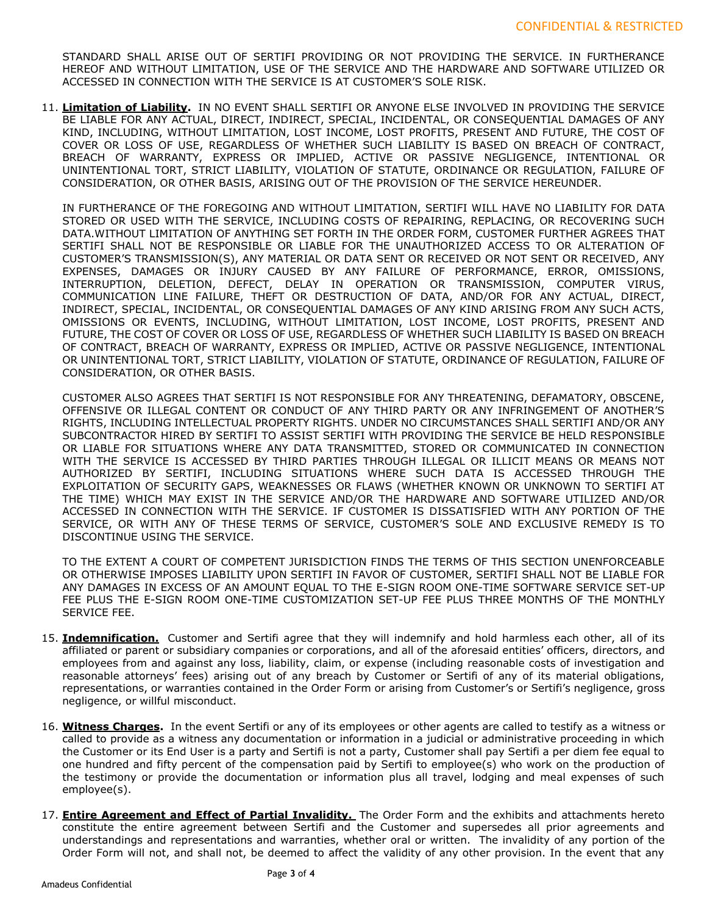STANDARD SHALL ARISE OUT OF SERTIFI PROVIDING OR NOT PROVIDING THE SERVICE. IN FURTHERANCE HEREOF AND WITHOUT LIMITATION, USE OF THE SERVICE AND THE HARDWARE AND SOFTWARE UTILIZED OR ACCESSED IN CONNECTION WITH THE SERVICE IS AT CUSTOMER'S SOLE RISK.

11. **Limitation of Liability.** IN NO EVENT SHALL SERTIFI OR ANYONE ELSE INVOLVED IN PROVIDING THE SERVICE BE LIABLE FOR ANY ACTUAL, DIRECT, INDIRECT, SPECIAL, INCIDENTAL, OR CONSEQUENTIAL DAMAGES OF ANY KIND, INCLUDING, WITHOUT LIMITATION, LOST INCOME, LOST PROFITS, PRESENT AND FUTURE, THE COST OF COVER OR LOSS OF USE, REGARDLESS OF WHETHER SUCH LIABILITY IS BASED ON BREACH OF CONTRACT, BREACH OF WARRANTY, EXPRESS OR IMPLIED, ACTIVE OR PASSIVE NEGLIGENCE, INTENTIONAL OR UNINTENTIONAL TORT, STRICT LIABILITY, VIOLATION OF STATUTE, ORDINANCE OR REGULATION, FAILURE OF CONSIDERATION, OR OTHER BASIS, ARISING OUT OF THE PROVISION OF THE SERVICE HEREUNDER.

IN FURTHERANCE OF THE FOREGOING AND WITHOUT LIMITATION, SERTIFI WILL HAVE NO LIABILITY FOR DATA STORED OR USED WITH THE SERVICE, INCLUDING COSTS OF REPAIRING, REPLACING, OR RECOVERING SUCH DATA.WITHOUT LIMITATION OF ANYTHING SET FORTH IN THE ORDER FORM, CUSTOMER FURTHER AGREES THAT SERTIFI SHALL NOT BE RESPONSIBLE OR LIABLE FOR THE UNAUTHORIZED ACCESS TO OR ALTERATION OF CUSTOMER'S TRANSMISSION(S), ANY MATERIAL OR DATA SENT OR RECEIVED OR NOT SENT OR RECEIVED, ANY EXPENSES, DAMAGES OR INJURY CAUSED BY ANY FAILURE OF PERFORMANCE, ERROR, OMISSIONS, INTERRUPTION, DELETION, DEFECT, DELAY IN OPERATION OR TRANSMISSION, COMPUTER VIRUS, COMMUNICATION LINE FAILURE, THEFT OR DESTRUCTION OF DATA, AND/OR FOR ANY ACTUAL, DIRECT, INDIRECT, SPECIAL, INCIDENTAL, OR CONSEQUENTIAL DAMAGES OF ANY KIND ARISING FROM ANY SUCH ACTS, OMISSIONS OR EVENTS, INCLUDING, WITHOUT LIMITATION, LOST INCOME, LOST PROFITS, PRESENT AND FUTURE, THE COST OF COVER OR LOSS OF USE, REGARDLESS OF WHETHER SUCH LIABILITY IS BASED ON BREACH OF CONTRACT, BREACH OF WARRANTY, EXPRESS OR IMPLIED, ACTIVE OR PASSIVE NEGLIGENCE, INTENTIONAL OR UNINTENTIONAL TORT, STRICT LIABILITY, VIOLATION OF STATUTE, ORDINANCE OF REGULATION, FAILURE OF CONSIDERATION, OR OTHER BASIS.

CUSTOMER ALSO AGREES THAT SERTIFI IS NOT RESPONSIBLE FOR ANY THREATENING, DEFAMATORY, OBSCENE, OFFENSIVE OR ILLEGAL CONTENT OR CONDUCT OF ANY THIRD PARTY OR ANY INFRINGEMENT OF ANOTHER'S RIGHTS, INCLUDING INTELLECTUAL PROPERTY RIGHTS. UNDER NO CIRCUMSTANCES SHALL SERTIFI AND/OR ANY SUBCONTRACTOR HIRED BY SERTIFI TO ASSIST SERTIFI WITH PROVIDING THE SERVICE BE HELD RESPONSIBLE OR LIABLE FOR SITUATIONS WHERE ANY DATA TRANSMITTED, STORED OR COMMUNICATED IN CONNECTION WITH THE SERVICE IS ACCESSED BY THIRD PARTIES THROUGH ILLEGAL OR ILLICIT MEANS OR MEANS NOT AUTHORIZED BY SERTIFI, INCLUDING SITUATIONS WHERE SUCH DATA IS ACCESSED THROUGH THE EXPLOITATION OF SECURITY GAPS, WEAKNESSES OR FLAWS (WHETHER KNOWN OR UNKNOWN TO SERTIFI AT THE TIME) WHICH MAY EXIST IN THE SERVICE AND/OR THE HARDWARE AND SOFTWARE UTILIZED AND/OR ACCESSED IN CONNECTION WITH THE SERVICE. IF CUSTOMER IS DISSATISFIED WITH ANY PORTION OF THE SERVICE, OR WITH ANY OF THESE TERMS OF SERVICE, CUSTOMER'S SOLE AND EXCLUSIVE REMEDY IS TO DISCONTINUE USING THE SERVICE.

TO THE EXTENT A COURT OF COMPETENT JURISDICTION FINDS THE TERMS OF THIS SECTION UNENFORCEABLE OR OTHERWISE IMPOSES LIABILITY UPON SERTIFI IN FAVOR OF CUSTOMER, SERTIFI SHALL NOT BE LIABLE FOR ANY DAMAGES IN EXCESS OF AN AMOUNT EQUAL TO THE E-SIGN ROOM ONE-TIME SOFTWARE SERVICE SET-UP FEE PLUS THE E-SIGN ROOM ONE-TIME CUSTOMIZATION SET-UP FEE PLUS THREE MONTHS OF THE MONTHLY SERVICE FEE.

- 15. **Indemnification.** Customer and Sertifi agree that they will indemnify and hold harmless each other, all of its affiliated or parent or subsidiary companies or corporations, and all of the aforesaid entities' officers, directors, and employees from and against any loss, liability, claim, or expense (including reasonable costs of investigation and reasonable attorneys' fees) arising out of any breach by Customer or Sertifi of any of its material obligations, representations, or warranties contained in the Order Form or arising from Customer's or Sertifi's negligence, gross negligence, or willful misconduct.
- 16. **Witness Charges.** In the event Sertifi or any of its employees or other agents are called to testify as a witness or called to provide as a witness any documentation or information in a judicial or administrative proceeding in which the Customer or its End User is a party and Sertifi is not a party, Customer shall pay Sertifi a per diem fee equal to one hundred and fifty percent of the compensation paid by Sertifi to employee(s) who work on the production of the testimony or provide the documentation or information plus all travel, lodging and meal expenses of such employee(s).
- 17. **Entire Agreement and Effect of Partial Invalidity.** The Order Form and the exhibits and attachments hereto constitute the entire agreement between Sertifi and the Customer and supersedes all prior agreements and understandings and representations and warranties, whether oral or written. The invalidity of any portion of the Order Form will not, and shall not, be deemed to affect the validity of any other provision. In the event that any